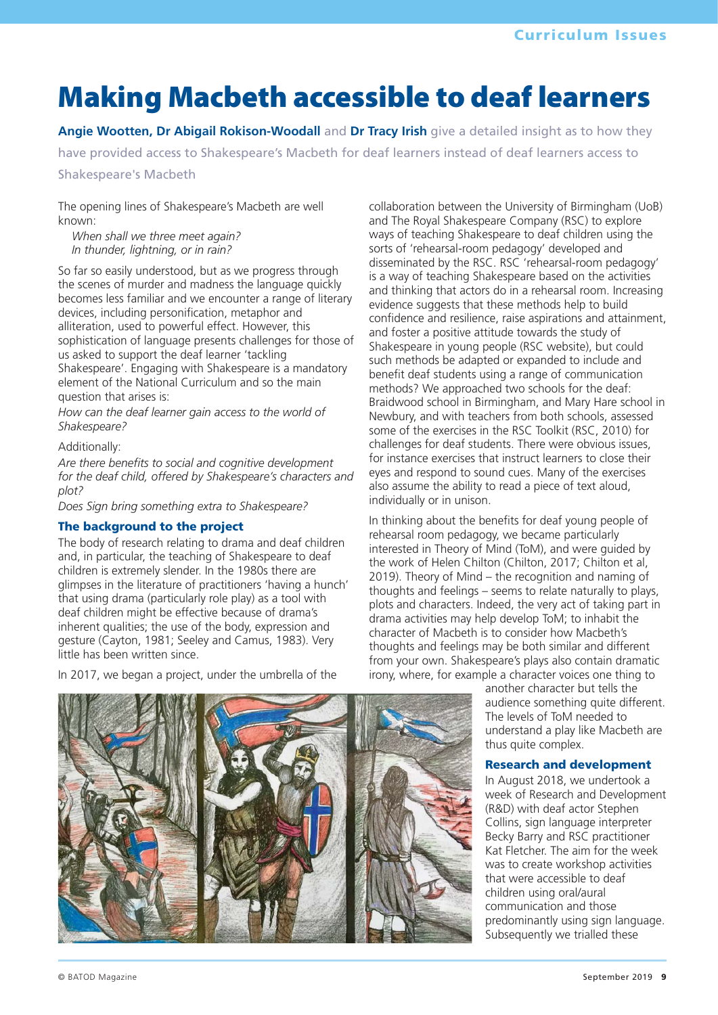# **Making Macbeth accessible to deaf learners**

**Angie Wootten, Dr Abigail Rokison-Woodall** and **Dr Tracy Irish** give a detailed insight as to how they

have provided access to Shakespeare's Macbeth for deaf learners instead of deaf learners access to

#### Shakespeare's Macbeth

The opening lines of Shakespeare's Macbeth are well known:

*When shall we three meet again? In thunder, lightning, or in rain?*

So far so easily understood, but as we progress through the scenes of murder and madness the language quickly becomes less familiar and we encounter a range of literary devices, including personification, metaphor and alliteration, used to powerful effect. However, this sophistication of language presents challenges for those of us asked to support the deaf learner 'tackling Shakespeare'. Engaging with Shakespeare is a mandatory element of the National Curriculum and so the main question that arises is:

*How can the deaf learner gain access to the world of Shakespeare?* 

#### Additionally:

*Are there benefits to social and cognitive development for the deaf child, offered by Shakespeare's characters and plot?* 

*Does Sign bring something extra to Shakespeare?* 

#### The background to the project

The body of research relating to drama and deaf children and, in particular, the teaching of Shakespeare to deaf children is extremely slender. In the 1980s there are glimpses in the literature of practitioners 'having a hunch' that using drama (particularly role play) as a tool with deaf children might be effective because of drama's inherent qualities; the use of the body, expression and gesture (Cayton, 1981; Seeley and Camus, 1983). Very little has been written since.

In 2017, we began a project, under the umbrella of the

collaboration between the University of Birmingham (UoB) and The Royal Shakespeare Company (RSC) to explore ways of teaching Shakespeare to deaf children using the sorts of 'rehearsal-room pedagogy' developed and disseminated by the RSC. RSC 'rehearsal-room pedagogy' is a way of teaching Shakespeare based on the activities and thinking that actors do in a rehearsal room. Increasing evidence suggests that these methods help to build confidence and resilience, raise aspirations and attainment, and foster a positive attitude towards the study of Shakespeare in young people (RSC website), but could such methods be adapted or expanded to include and benefit deaf students using a range of communication methods? We approached two schools for the deaf: Braidwood school in Birmingham, and Mary Hare school in Newbury, and with teachers from both schools, assessed some of the exercises in the RSC Toolkit (RSC, 2010) for challenges for deaf students. There were obvious issues, for instance exercises that instruct learners to close their eyes and respond to sound cues. Many of the exercises also assume the ability to read a piece of text aloud, individually or in unison.

In thinking about the benefits for deaf young people of rehearsal room pedagogy, we became particularly interested in Theory of Mind (ToM), and were guided by the work of Helen Chilton (Chilton, 2017; Chilton et al, 2019). Theory of Mind – the recognition and naming of thoughts and feelings – seems to relate naturally to plays, plots and characters. Indeed, the very act of taking part in drama activities may help develop ToM; to inhabit the character of Macbeth is to consider how Macbeth's thoughts and feelings may be both similar and different from your own. Shakespeare's plays also contain dramatic irony, where, for example a character voices one thing to

another character but tells the audience something quite different. The levels of ToM needed to understand a play like Macbeth are thus quite complex.

#### Research and development

In August 2018, we undertook a week of Research and Development (R&D) with deaf actor Stephen Collins, sign language interpreter Becky Barry and RSC practitioner Kat Fletcher. The aim for the week was to create workshop activities that were accessible to deaf children using oral/aural communication and those predominantly using sign language. Subsequently we trialled these

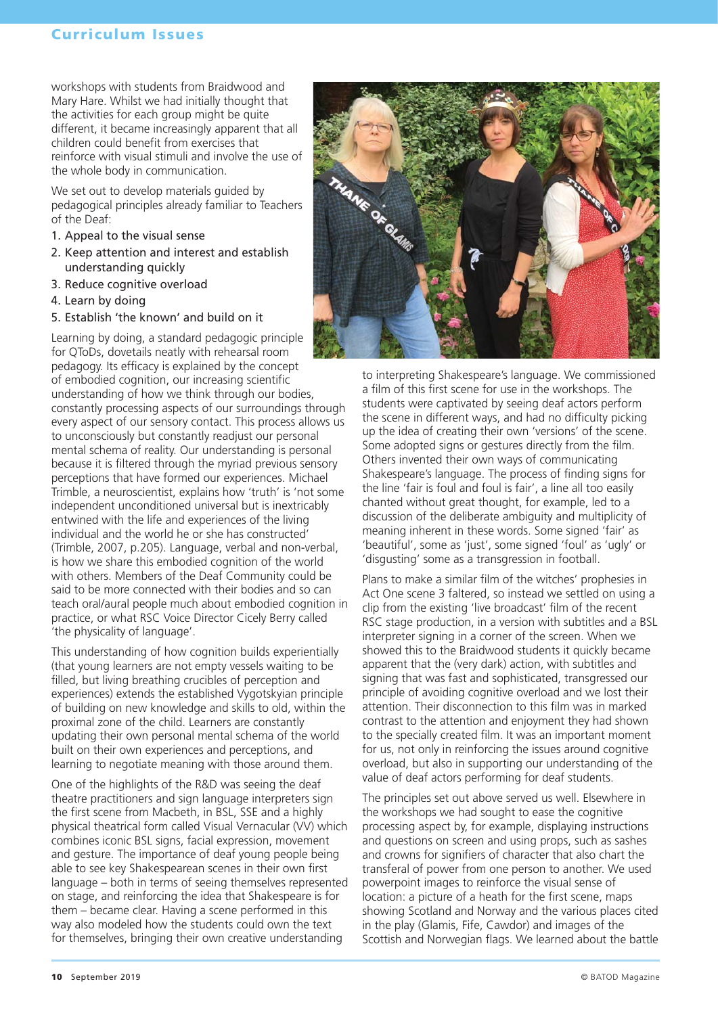### Curriculum Issues

workshops with students from Braidwood and Mary Hare. Whilst we had initially thought that the activities for each group might be quite different, it became increasingly apparent that all children could benefit from exercises that reinforce with visual stimuli and involve the use of the whole body in communication.

We set out to develop materials guided by pedagogical principles already familiar to Teachers of the Deaf:

- 1. Appeal to the visual sense
- 2. Keep attention and interest and establish understanding quickly
- 3. Reduce cognitive overload
- 4. Learn by doing
- 5. Establish 'the known' and build on it

Learning by doing, a standard pedagogic principle for QToDs, dovetails neatly with rehearsal room pedagogy. Its efficacy is explained by the concept of embodied cognition, our increasing scientific understanding of how we think through our bodies, constantly processing aspects of our surroundings through every aspect of our sensory contact. This process allows us to unconsciously but constantly readjust our personal mental schema of reality. Our understanding is personal because it is filtered through the myriad previous sensory perceptions that have formed our experiences. Michael Trimble, a neuroscientist, explains how 'truth' is 'not some independent unconditioned universal but is inextricably entwined with the life and experiences of the living individual and the world he or she has constructed' (Trimble, 2007, p.205). Language, verbal and non-verbal, is how we share this embodied cognition of the world with others. Members of the Deaf Community could be said to be more connected with their bodies and so can teach oral/aural people much about embodied cognition in practice, or what RSC Voice Director Cicely Berry called 'the physicality of language'.

This understanding of how cognition builds experientially (that young learners are not empty vessels waiting to be filled, but living breathing crucibles of perception and experiences) extends the established Vygotskyian principle of building on new knowledge and skills to old, within the proximal zone of the child. Learners are constantly updating their own personal mental schema of the world built on their own experiences and perceptions, and learning to negotiate meaning with those around them.

One of the highlights of the R&D was seeing the deaf theatre practitioners and sign language interpreters sign the first scene from Macbeth, in BSL, SSE and a highly physical theatrical form called Visual Vernacular (VV) which combines iconic BSL signs, facial expression, movement and gesture. The importance of deaf young people being able to see key Shakespearean scenes in their own first language – both in terms of seeing themselves represented on stage, and reinforcing the idea that Shakespeare is for them – became clear. Having a scene performed in this way also modeled how the students could own the text for themselves, bringing their own creative understanding



to interpreting Shakespeare's language. We commissioned a film of this first scene for use in the workshops. The students were captivated by seeing deaf actors perform the scene in different ways, and had no difficulty picking up the idea of creating their own 'versions' of the scene. Some adopted signs or gestures directly from the film. Others invented their own ways of communicating Shakespeare's language. The process of finding signs for the line 'fair is foul and foul is fair', a line all too easily chanted without great thought, for example, led to a discussion of the deliberate ambiguity and multiplicity of meaning inherent in these words. Some signed 'fair' as 'beautiful', some as 'just', some signed 'foul' as 'ugly' or 'disgusting' some as a transgression in football.

Plans to make a similar film of the witches' prophesies in Act One scene 3 faltered, so instead we settled on using a clip from the existing 'live broadcast' film of the recent RSC stage production, in a version with subtitles and a BSL interpreter signing in a corner of the screen. When we showed this to the Braidwood students it quickly became apparent that the (very dark) action, with subtitles and signing that was fast and sophisticated, transgressed our principle of avoiding cognitive overload and we lost their attention. Their disconnection to this film was in marked contrast to the attention and enjoyment they had shown to the specially created film. It was an important moment for us, not only in reinforcing the issues around cognitive overload, but also in supporting our understanding of the value of deaf actors performing for deaf students.

The principles set out above served us well. Elsewhere in the workshops we had sought to ease the cognitive processing aspect by, for example, displaying instructions and questions on screen and using props, such as sashes and crowns for signifiers of character that also chart the transferal of power from one person to another. We used powerpoint images to reinforce the visual sense of location: a picture of a heath for the first scene, maps showing Scotland and Norway and the various places cited in the play (Glamis, Fife, Cawdor) and images of the Scottish and Norwegian flags. We learned about the battle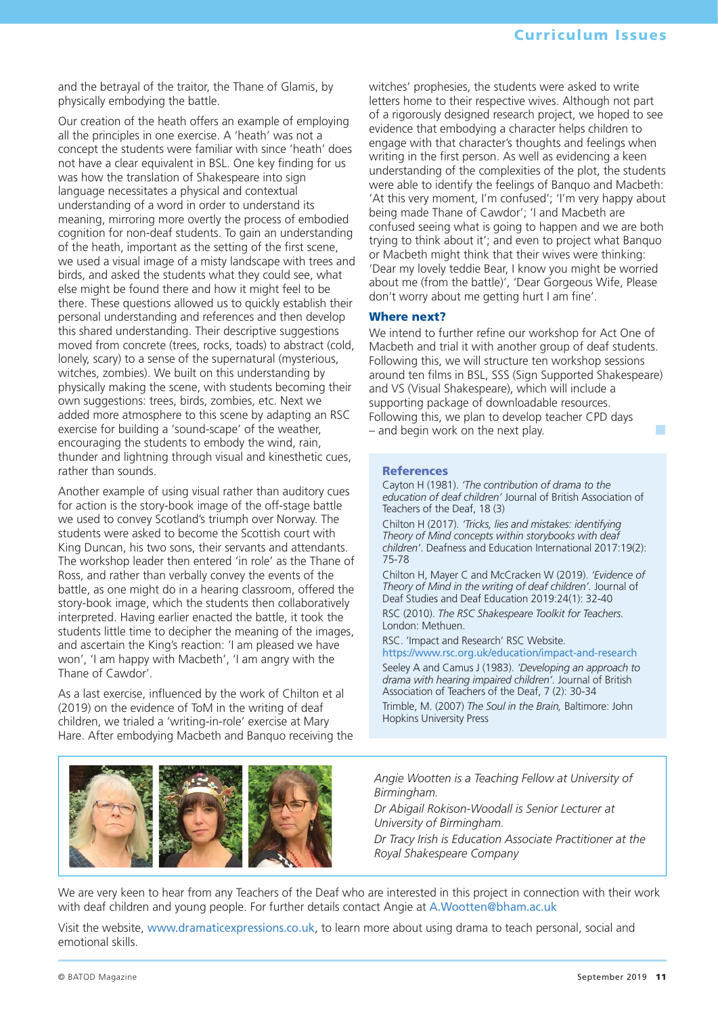and the betrayal of the traitor, the Thane of Glamis, by physically embodying the battle.

Our creation of the heath offers an example of employing all the principles in one exercise. A 'heath' was not a concept the students were familiar with since 'heath' does not have a clear equivalent in BSL. One key finding for us was how the translation of Shakespeare into sign language necessitates a physical and contextual understanding of a word in order to understand its meaning, mirroring more overtly the process of embodied cognition for non-deaf students. To gain an understanding of the heath, important as the setting of the first scene, we used a visual image of a misty landscape with trees and birds, and asked the students what they could see, what else might be found there and how it might feel to be there. These questions allowed us to quickly establish their personal understanding and references and then develop this shared understanding. Their descriptive suggestions moved from concrete (trees, rocks, toads) to abstract (cold, lonely, scary) to a sense of the supernatural (mysterious, witches, zombies). We built on this understanding by physically making the scene, with students becoming their own suggestions: trees, birds, zombies, etc. Next we added more atmosphere to this scene by adapting an RSC exercise for building a 'sound-scape' of the weather, encouraging the students to embody the wind, rain, thunder and lightning through visual and kinesthetic cues, rather than sounds.

Another example of using visual rather than auditory cues for action is the story-book image of the off-stage battle we used to convey Scotland's triumph over Norway. The students were asked to become the Scottish court with King Duncan, his two sons, their servants and attendants. The workshop leader then entered 'in role' as the Thane of Ross, and rather than verbally convey the events of the battle, as one might do in a hearing classroom, offered the story-book image, which the students then collaboratively interpreted. Having earlier enacted the battle, it took the students little time to decipher the meaning of the images, and ascertain the King's reaction: 'I am pleased we have won', 'I am happy with Macbeth', 'I am angry with the Thane of Cawdor'.

As a last exercise, influenced by the work of Chilton et al (2019) on the evidence of ToM in the writing of deaf children, we trialed a 'writing-in-role' exercise at Mary Hare. After embodying Macbeth and Banquo receiving the witches' prophesies, the students were asked to write letters home to their respective wives. Although not part of a rigorously designed research project, we hoped to see evidence that embodying a character helps children to engage with that character's thoughts and feelings when writing in the first person. As well as evidencing a keen understanding of the complexities of the plot, the students were able to identify the feelings of Banquo and Macbeth: 'At this very moment, I'm confused'; 'I'm very happy about being made Thane of Cawdor'; 'I and Macbeth are confused seeing what is going to happen and we are both trying to think about it'; and even to project what Banquo or Macbeth might think that their wives were thinking: 'Dear my lovely teddie Bear, I know you might be worried about me (from the battle)', 'Dear Gorgeous Wife, Please don't worry about me getting hurt I am fine'.

#### Where next?

We intend to further refine our workshop for Act One of Macbeth and trial it with another group of deaf students. Following this, we will structure ten workshop sessions around ten films in BSL, SSS (Sign Supported Shakespeare) and VS (Visual Shakespeare), which will include a supporting package of downloadable resources. Following this, we plan to develop teacher CPD days  $-$  and begin work on the next play.

#### References

Cayton H (1981). *'The contribution of drama to the education of deaf children'* Journal of British Association of Teachers of the Deaf, 18 (3)

Chilton H (2017). *'Tricks, lies and mistakes: identifying Theory of Mind concepts within storybooks with deaf children'*. Deafness and Education International 2017:19(2): 75-78

Chilton H, Mayer C and McCracken W (2019). *'Evidence of Theory of Mind in the writing of deaf children'.* Journal of Deaf Studies and Deaf Education 2019:24(1): 32-40 RSC (2010). *The RSC Shakespeare Toolkit for Teachers.* London: Methuen.

RSC. 'Impact and Research' RSC Website.

https://www.rsc.org.uk/education/impact-and-research

Seeley A and Camus J (1983). *'Developing an approach to drama with hearing impaired children'.* Journal of British Association of Teachers of the Deaf, 7 (2): 30-34

Trimble, M. (2007) *The Soul in the Brain,* Baltimore: John Hopkins University Press



*Angie Wootten is a Teaching Fellow at University of Birmingham.*

*Dr Abigail Rokison-Woodall is Senior Lecturer at University of Birmingham.*

*Dr Tracy Irish is Education Associate Practitioner at the Royal Shakespeare Company*

We are very keen to hear from any Teachers of the Deaf who are interested in this project in connection with their work with deaf children and young people. For further details contact Angie at A.Wootten@bham.ac.uk

Visit the website, www.dramaticexpressions.co.uk, to learn more about using drama to teach personal, social and emotional skills.